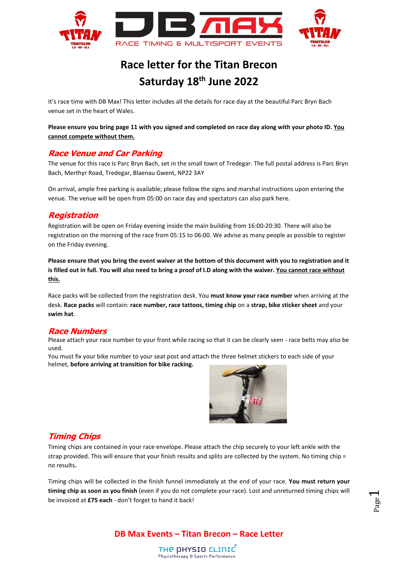

# **Race letter for the Titan Brecon Saturday 18 th June 2022**

It's race time with DB Max! This letter includes all the details for race day at the beautiful Parc Bryn Bach venue set in the heart of Wales.

**Please ensure you bring page 11 with you signed and completed on race day along with your photo ID. You cannot compete without them.**

## **Race Venue and Car Parking**

The venue for this race is Parc Bryn Bach, set in the small town of Tredegar. The full postal address is Parc Bryn Bach, Merthyr Road, Tredegar, Blaenau Gwent, NP22 3AY

On arrival, ample free parking is available; please follow the signs and marshal instructions upon entering the venue. The venue will be open from 05:00 on race day and spectators can also park here.

## **Registration**

Registration will be open on Friday evening inside the main building from 16:00-20:30. There will also be registration on the morning of the race from 05:15 to 06:00. We advise as many people as possible to register on the Friday evening.

**Please ensure that you bring the event waiver at the bottom of this document with you to registration and it is filled out in full. You will also need to bring a proof of I.D along with the waiver. You cannot race without this.**

Race packs will be collected from the registration desk. You **must know your race number** when arriving at the desk. **Race packs** will contain: **race number, race tattoos, timing chip** on a **strap, bike sticker sheet** and your **swim hat**.

#### **Race Numbers**

Please attach your race number to your front while racing so that it can be clearly seen - race belts may also be used.

You must fix your bike number to your seat post and attach the three helmet stickers to each side of your helmet, **before arriving at transition for bike racking.** 



## **Timing Chips**

Timing chips are contained in your race envelope. Please attach the chip securely to your left ankle with the strap provided. This will ensure that your finish results and splits are collected by the system. No timing chip = no results**.**

Timing chips will be collected in the finish funnel immediately at the end of your race. **You must return your timing chip as soon as you finish** (even if you do not complete your race). Lost and unreturned timing chips will be invoiced at **£75 each** - don't forget to hand it back!

Page  $\overline{\phantom{0}}$ 

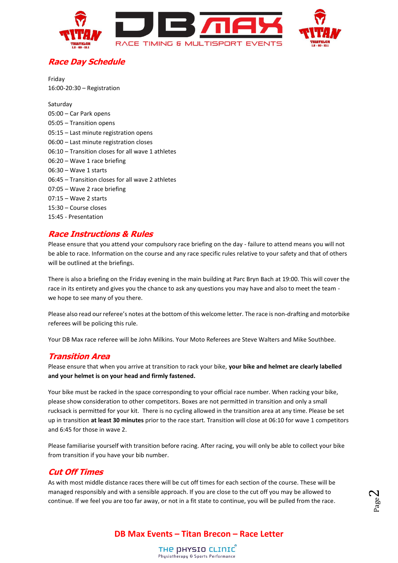

## **Race Day Schedule**

Friday 16:00-20:30 – Registration

Saturday 05:00 – Car Park opens 05:05 – Transition opens 05:15 – Last minute registration opens 06:00 – Last minute registration closes 06:10 – Transition closes for all wave 1 athletes 06:20 – Wave 1 race briefing 06:30 – Wave 1 starts 06:45 – Transition closes for all wave 2 athletes 07:05 – Wave 2 race briefing 07:15 – Wave 2 starts 15:30 – Course closes 15:45 - Presentation

## **Race Instructions & Rules**

Please ensure that you attend your compulsory race briefing on the day - failure to attend means you will not be able to race. Information on the course and any race specific rules relative to your safety and that of others will be outlined at the briefings.

There is also a briefing on the Friday evening in the main building at Parc Bryn Bach at 19:00. This will cover the race in its entirety and gives you the chance to ask any questions you may have and also to meet the team we hope to see many of you there.

Please also read our referee's notes at the bottom of this welcome letter. The race is non-drafting and motorbike referees will be policing this rule.

Your DB Max race referee will be John Milkins. Your Moto Referees are Steve Walters and Mike Southbee.

#### **Transition Area**

Please ensure that when you arrive at transition to rack your bike, **your bike and helmet are clearly labelled and your helmet is on your head and firmly fastened.**

Your bike must be racked in the space corresponding to your official race number. When racking your bike, please show consideration to other competitors. Boxes are not permitted in transition and only a small rucksack is permitted for your kit. There is no cycling allowed in the transition area at any time. Please be set up in transition **at least 30 minutes** prior to the race start. Transition will close at 06:10 for wave 1 competitors and 6:45 for those in wave 2.

Please familiarise yourself with transition before racing. After racing, you will only be able to collect your bike from transition if you have your bib number.

## **Cut Off Times**

As with most middle distance races there will be cut off times for each section of the course. These will be managed responsibly and with a sensible approach. If you are close to the cut off you may be allowed to continue. If we feel you are too far away, or not in a fit state to continue, you will be pulled from the race.

Page  $\boldsymbol{\sim}$ 

## **DB Max Events – Titan Brecon – Race Letter**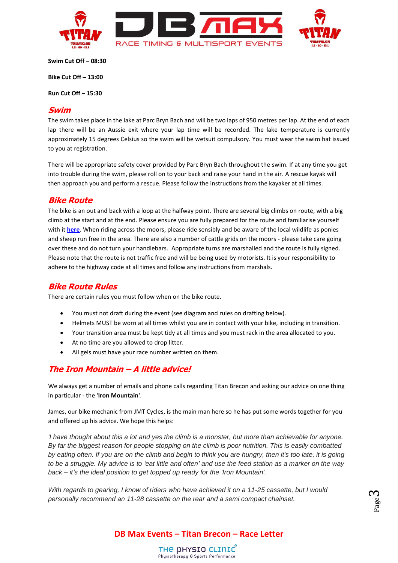

**Swim Cut Off – 08:30**

**Bike Cut Off – 13:00**

**Run Cut Off – 15:30**

#### **Swim**

The swim takes place in the lake at Parc Bryn Bach and will be two laps of 950 metres per lap. At the end of each lap there will be an Aussie exit where your lap time will be recorded. The lake temperature is currently approximately 15 degrees Celsius so the swim will be wetsuit compulsory. You must wear the swim hat issued to you at registration.

There will be appropriate safety cover provided by Parc Bryn Bach throughout the swim. If at any time you get into trouble during the swim, please roll on to your back and raise your hand in the air. A rescue kayak will then approach you and perform a rescue. Please follow the instructions from the kayaker at all times.

#### **Bike Route**

The bike is an out and back with a loop at the halfway point. There are several big climbs on route, with a big climb at the start and at the end. Please ensure you are fully prepared for the route and familiarise yourself with it **[here](http://gb.mapometer.com/cycling/route_3886563.html)**. When riding across the moors, please ride sensibly and be aware of the local wildlife as ponies and sheep run free in the area. There are also a number of cattle grids on the moors - please take care going over these and do not turn your handlebars. Appropriate turns are marshalled and the route is fully signed. Please note that the route is not traffic free and will be being used by motorists. It is your responsibility to adhere to the highway code at all times and follow any instructions from marshals.

#### **Bike Route Rules**

There are certain rules you must follow when on the bike route.

- You must not draft during the event (see diagram and rules on drafting below).
- Helmets MUST be worn at all times whilst you are in contact with your bike, including in transition.
- Your transition area must be kept tidy at all times and you must rack in the area allocated to you.
- At no time are you allowed to drop litter.
- All gels must have your race number written on them.

#### **The Iron Mountain – A little advice!**

We always get a number of emails and phone calls regarding Titan Brecon and asking our advice on one thing in particular - the **'Iron Mountain'**.

James, our bike mechanic from JMT Cycles, is the main man here so he has put some words together for you and offered up his advice. We hope this helps:

*'I have thought about this a lot and yes the climb is a monster, but more than achievable for anyone. By far the biggest reason for people stopping on the climb is poor nutrition. This is easily combatted by eating often. If you are on the climb and begin to think you are hungry, then it's too late, it is going to be a struggle. My advice is to 'eat little and often' and use the feed station as a marker on the way back – it's the ideal position to get topped up ready for the 'Iron Mountain'.*

*With regards to gearing, I know of riders who have achieved it on a 11-25 cassette, but I would personally recommend an 11-28 cassette on the rear and a semi compact chainset.*

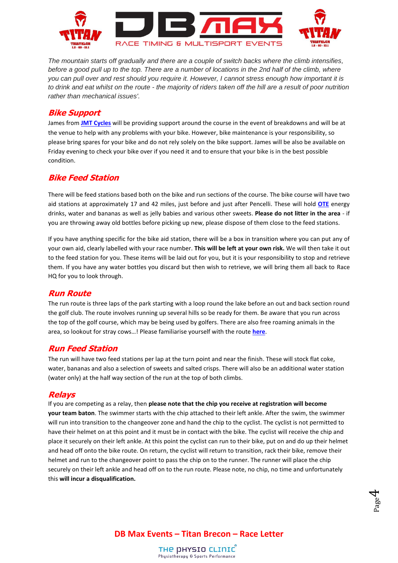

*The mountain starts off gradually and there are a couple of switch backs where the climb intensifies, before a good pull up to the top. There are a number of locations in the 2nd half of the climb, where you can pull over and rest should you require it. However, I cannot stress enough how important it is to drink and eat whilst on the route - the majority of riders taken off the hill are a result of poor nutrition rather than mechanical issues'.*

#### **Bike Support**

James from **[JMT Cycles](https://www.facebook.com/jmtcycle/)** will be providing support around the course in the event of breakdowns and will be at the venue to help with any problems with your bike. However, bike maintenance is your responsibility, so please bring spares for your bike and do not rely solely on the bike support. James will be also be available on Friday evening to check your bike over if you need it and to ensure that your bike is in the best possible condition.

## **Bike Feed Station**

There will be feed stations based both on the bike and run sections of the course. The bike course will have two aid stations at approximately 17 and 42 miles, just before and just after Pencelli. These will hold **[OTE](https://www.otesports.co.uk/product-category/drinks/energy-drinks/)** energy drinks, water and bananas as well as jelly babies and various other sweets. **Please do not litter in the area** - if you are throwing away old bottles before picking up new, please dispose of them close to the feed stations.

If you have anything specific for the bike aid station, there will be a box in transition where you can put any of your own aid, clearly labelled with your race number. **This will be left at your own risk.** We will then take it out to the feed station for you. These items will be laid out for you, but it is your responsibility to stop and retrieve them. If you have any water bottles you discard but then wish to retrieve, we will bring them all back to Race HQ for you to look through.

#### **Run Route**

The run route is three laps of the park starting with a loop round the lake before an out and back section round the golf club. The route involves running up several hills so be ready for them. Be aware that you run across the top of the golf course, which may be being used by golfers. There are also free roaming animals in the area, so lookout for stray cows…! Please familiarise yourself with the route **[here](http://gb.mapometer.com/running/route_3703131.html)**.

#### **Run Feed Station**

The run will have two feed stations per lap at the turn point and near the finish. These will stock flat coke, water, bananas and also a selection of sweets and salted crisps. There will also be an additional water station (water only) at the half way section of the run at the top of both climbs.

#### **Relays**

If you are competing as a relay, then **please note that the chip you receive at registration will become your team baton**. The swimmer starts with the chip attached to their left ankle. After the swim, the swimmer will run into transition to the changeover zone and hand the chip to the cyclist. The cyclist is not permitted to have their helmet on at this point and it must be in contact with the bike. The cyclist will receive the chip and place it securely on their left ankle. At this point the cyclist can run to their bike, put on and do up their helmet and head off onto the bike route. On return, the cyclist will return to transition, rack their bike, remove their helmet and run to the changeover point to pass the chip on to the runner. The runner will place the chip securely on their left ankle and head off on to the run route. Please note, no chip, no time and unfortunately this **will incur a disqualification.**

**DB Max Events – Titan Brecon – Race Letter**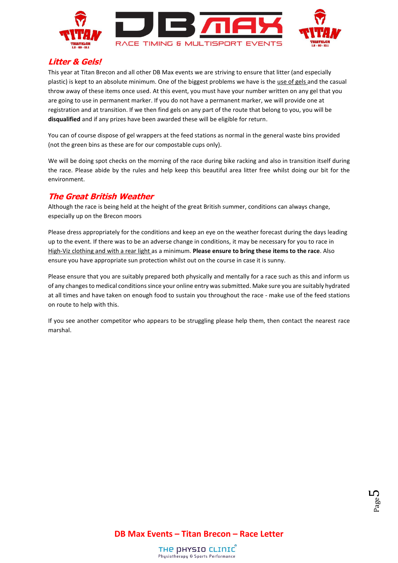

## **Litter & Gels!**

This year at Titan Brecon and all other DB Max events we are striving to ensure that litter (and especially plastic) is kept to an absolute minimum. One of the biggest problems we have is the use of gels and the casual throw away of these items once used. At this event, you must have your number written on any gel that you are going to use in permanent marker. If you do not have a permanent marker, we will provide one at registration and at transition. If we then find gels on any part of the route that belong to you, you will be **disqualified** and if any prizes have been awarded these will be eligible for return.

You can of course dispose of gel wrappers at the feed stations as normal in the general waste bins provided (not the green bins as these are for our compostable cups only).

We will be doing spot checks on the morning of the race during bike racking and also in transition itself during the race. Please abide by the rules and help keep this beautiful area litter free whilst doing our bit for the environment.

## **The Great British Weather**

Although the race is being held at the height of the great British summer, conditions can always change, especially up on the Brecon moors

Please dress appropriately for the conditions and keep an eye on the weather forecast during the days leading up to the event. If there was to be an adverse change in conditions, it may be necessary for you to race in High-Viz clothing and with a rear light as a minimum. **Please ensure to bring these items to the race**. Also ensure you have appropriate sun protection whilst out on the course in case it is sunny.

Please ensure that you are suitably prepared both physically and mentally for a race such as this and inform us of any changes to medical conditions since your online entry was submitted. Make sure you are suitably hydrated at all times and have taken on enough food to sustain you throughout the race - make use of the feed stations on route to help with this.

If you see another competitor who appears to be struggling please help them, then contact the nearest race marshal.

**DB Max Events – Titan Brecon – Race Letter**

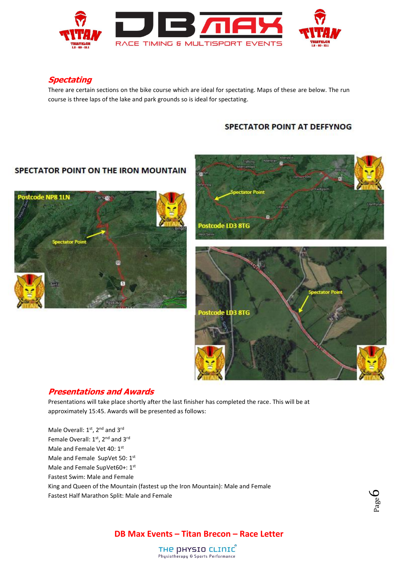

## **Spectating**

There are certain sections on the bike course which are ideal for spectating. Maps of these are below. The run course is three laps of the lake and park grounds so is ideal for spectating.

#### SPECTATOR POINT AT DEFFYNOG

## SPECTATOR POINT ON THE IRON MOUNTAIN





#### **Presentations and Awards**

Presentations will take place shortly after the last finisher has completed the race. This will be at approximately 15:45. Awards will be presented as follows:

Male Overall: 1<sup>st</sup>, 2<sup>nd</sup> and 3<sup>rd</sup> Female Overall: 1<sup>st</sup>, 2<sup>nd</sup> and 3<sup>rd</sup> Male and Female Vet 40: 1st Male and Female SupVet 50: 1st Male and Female SupVet60+: 1st Fastest Swim: Male and Female King and Queen of the Mountain (fastest up the Iron Mountain): Male and Female Fastest Half Marathon Split: Male and Female



## **DB Max Events – Titan Brecon – Race Letter**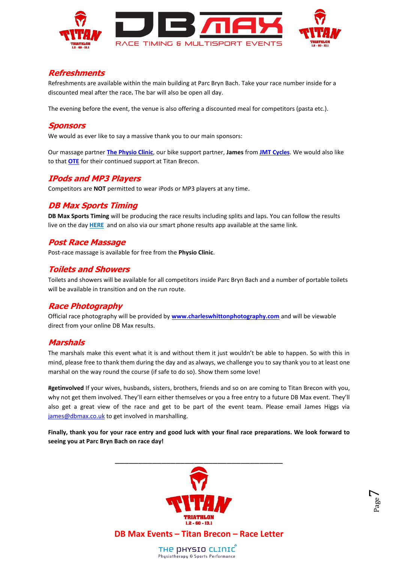

## **Refreshments**

Refreshments are available within the main building at Parc Bryn Bach. Take your race number inside for a discounted meal after the race**.** The bar will also be open all day.

The evening before the event, the venue is also offering a discounted meal for competitors (pasta etc.).

#### **Sponsors**

We would as ever like to say a massive thank you to our main sponsors:

Our massage partner **[The Physio Clinic](https://www.thephysioclinicbristol.co.uk/)**, our bike support partner, **James** from **[JMT Cycles](https://www.facebook.com/jmtcycle/)**. We would also like to that **[OTE](https://www.otesports.co.uk/)** for their continued support at Titan Brecon.

## **IPods and MP3 Players**

Competitors are **NOT** permitted to wear iPods or MP3 players at any time.

## **DB Max Sports Timing**

**DB Max Sports Timing** will be producing the race results including splits and laps. You can follow the results live on the day **[HERE](http://dbmaxresults.co.uk/)** and on also via our smart phone results app available at the same link.

## **Post Race Massage**

Post-race massage is available for free from the **Physio Clinic**.

## **Toilets and Showers**

Toilets and showers will be available for all competitors inside Parc Bryn Bach and a number of portable toilets will be available in transition and on the run route.

## **Race Photography**

Official race photography will be provided by **[www.charleswhittonphotography.com](http://www.charleswhittonphotography.com/)** and will be viewable direct from your online DB Max results.

#### **Marshals**

The marshals make this event what it is and without them it just wouldn't be able to happen. So with this in mind, please free to thank them during the day and as always, we challenge you to say thank you to at least one marshal on the way round the course (if safe to do so). Show them some love!

**#getinvolved** If your wives, husbands, sisters, brothers, friends and so on are coming to Titan Brecon with you, why not get them involved. They'll earn either themselves or you a free entry to a future DB Max event. They'll also get a great view of the race and get to be part of the event team. Please email James Higgs via [james@dbmax.co.uk](mailto:james@dbmax.co.uk) to get involved in marshalling.

**Finally, thank you for your race entry and good luck with your final race preparations. We look forward to seeing you at Parc Bryn Bach on race day!**



Page  $\overline{\phantom{a}}$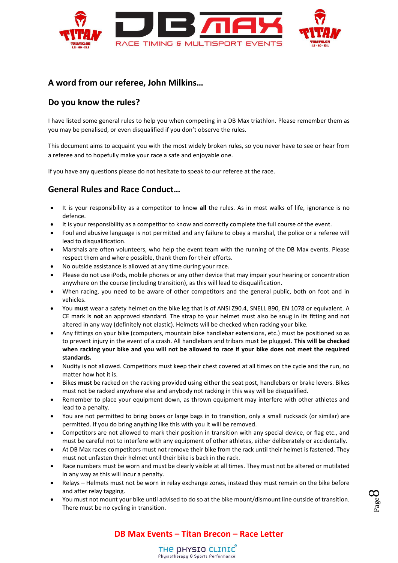

## **A word from our referee, John Milkins…**

## **Do you know the rules?**

I have listed some general rules to help you when competing in a DB Max triathlon. Please remember them as you may be penalised, or even disqualified if you don't observe the rules.

This document aims to acquaint you with the most widely broken rules, so you never have to see or hear from a referee and to hopefully make your race a safe and enjoyable one.

If you have any questions please do not hesitate to speak to our referee at the race.

## **General Rules and Race Conduct…**

- It is your responsibility as a competitor to know **all** the rules. As in most walks of life, ignorance is no defence.
- It is your responsibility as a competitor to know and correctly complete the full course of the event.
- Foul and abusive language is not permitted and any failure to obey a marshal, the police or a referee will lead to disqualification.
- Marshals are often volunteers, who help the event team with the running of the DB Max events. Please respect them and where possible, thank them for their efforts.
- No outside assistance is allowed at any time during your race.
- Please do not use iPods, mobile phones or any other device that may impair your hearing or concentration anywhere on the course (including transition), as this will lead to disqualification.
- When racing, you need to be aware of other competitors and the general public, both on foot and in vehicles.
- You **must** wear a safety helmet on the bike leg that is of ANSI Z90.4, SNELL B90, EN 1078 or equivalent. A CE mark is **not** an approved standard. The strap to your helmet must also be snug in its fitting and not altered in any way (definitely not elastic). Helmets will be checked when racking your bike.
- Any fittings on your bike (computers, mountain bike handlebar extensions, etc.) must be positioned so as to prevent injury in the event of a crash. All handlebars and tribars must be plugged. **This will be checked when racking your bike and you will not be allowed to race if your bike does not meet the required standards.**
- Nudity is not allowed. Competitors must keep their chest covered at all times on the cycle and the run, no matter how hot it is.
- Bikes **must** be racked on the racking provided using either the seat post, handlebars or brake levers. Bikes must not be racked anywhere else and anybody not racking in this way will be disqualified.
- Remember to place your equipment down, as thrown equipment may interfere with other athletes and lead to a penalty.
- You are not permitted to bring boxes or large bags in to transition, only a small rucksack (or similar) are permitted. If you do bring anything like this with you it will be removed.
- Competitors are not allowed to mark their position in transition with any special device, or flag etc., and must be careful not to interfere with any equipment of other athletes, either deliberately or accidentally.
- At DB Max races competitors must not remove their bike from the rack until their helmet is fastened. They must not unfasten their helmet until their bike is back in the rack.
- Race numbers must be worn and must be clearly visible at all times. They must not be altered or mutilated in any way as this will incur a penalty.
- Relays Helmets must not be worn in relay exchange zones, instead they must remain on the bike before and after relay tagging.
- You must not mount your bike until advised to do so at the bike mount/dismount line outside of transition. There must be no cycling in transition.

## **DB Max Events – Titan Brecon – Race Letter**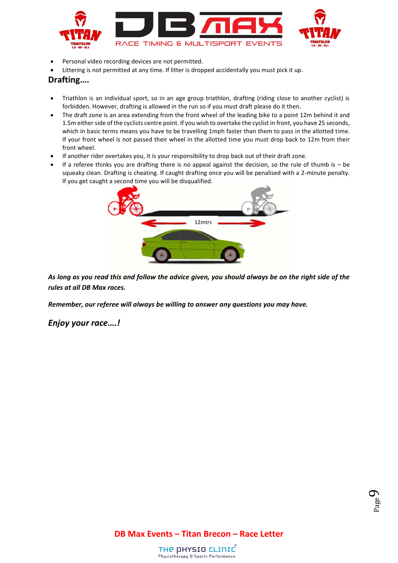

- Personal video recording devices are not permitted.
- Littering is not permitted at any time. If litter is dropped accidentally you must pick it up.

#### **Drafting….**

- Triathlon is an individual sport, so in an age group triathlon, drafting (riding close to another cyclist) is forbidden. However, drafting is allowed in the run so if you must draft please do it then.
- The draft zone is an area extending from the front wheel of the leading bike to a point 12m behind it and 1.5m either side of the cyclists centre point. If you wish to overtake the cyclist in front, you have 25 seconds, which in basic terms means you have to be travelling 1mph faster than them to pass in the allotted time. If your front wheel is not passed their wheel in the allotted time you must drop back to 12m from their front wheel.
- If another rider overtakes you, it is your responsibility to drop back out of their draft zone.
- If a referee thinks you are drafting there is no appeal against the decision, so the rule of thumb is be squeaky clean. Drafting is cheating. If caught drafting once you will be penalised with a 2-minute penalty. If you get caught a second time you will be disqualified.



*As long as you read this and follow the advice given, you should always be on the right side of the rules at all DB Max races.*

*Remember, our referee will always be willing to answer any questions you may have.*

#### *Enjoy your race….!*

**DB Max Events – Titan Brecon – Race Letter**